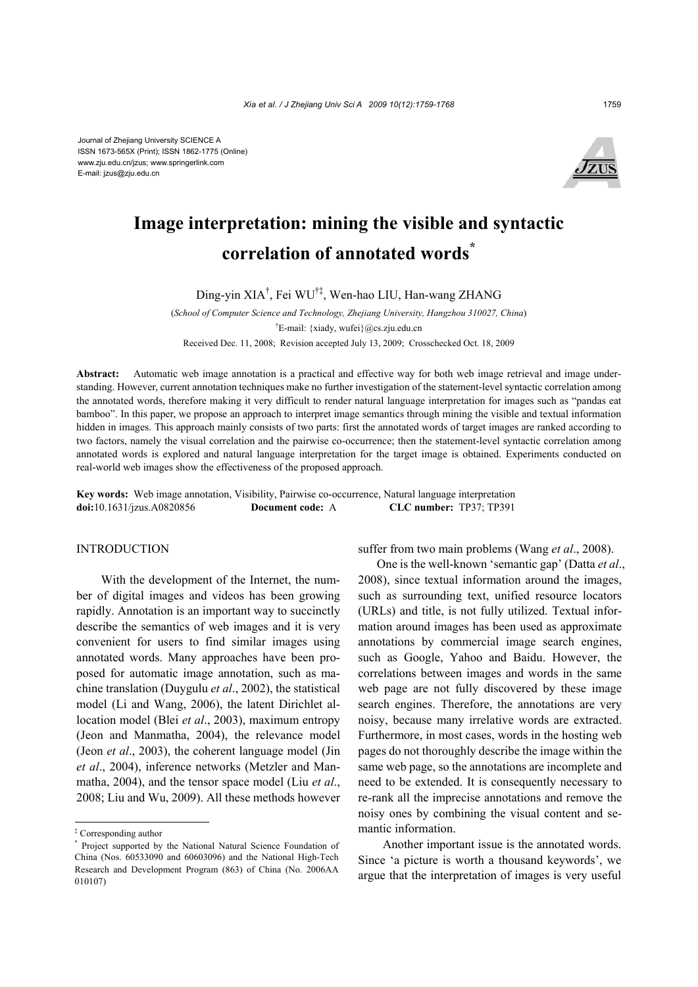

# **Image interpretation: mining the visible and syntactic correlation of annotated words\***

Ding-yin XIA† , Fei WU†‡, Wen-hao LIU, Han-wang ZHANG

(*School of Computer Science and Technology, Zhejiang University, Hangzhou 310027, China*) † E-mail: {xiady, wufei}@cs.zju.edu.cn Received Dec. 11, 2008; Revision accepted July 13, 2009; Crosschecked Oct. 18, 2009

**Abstract:** Automatic web image annotation is a practical and effective way for both web image retrieval and image understanding. However, current annotation techniques make no further investigation of the statement-level syntactic correlation among the annotated words, therefore making it very difficult to render natural language interpretation for images such as "pandas eat bamboo". In this paper, we propose an approach to interpret image semantics through mining the visible and textual information hidden in images. This approach mainly consists of two parts: first the annotated words of target images are ranked according to two factors, namely the visual correlation and the pairwise co-occurrence; then the statement-level syntactic correlation among annotated words is explored and natural language interpretation for the target image is obtained. Experiments conducted on real-world web images show the effectiveness of the proposed approach.

**Key words:** Web image annotation, Visibility, Pairwise co-occurrence, Natural language interpretation **doi:**10.1631/jzus.A0820856 **Document code:** A **CLC number:** TP37; TP391

## **INTRODUCTION**

With the development of the Internet, the number of digital images and videos has been growing rapidly. Annotation is an important way to succinctly describe the semantics of web images and it is very convenient for users to find similar images using annotated words. Many approaches have been proposed for automatic image annotation, such as machine translation (Duygulu *et al*., 2002), the statistical model (Li and Wang, 2006), the latent Dirichlet allocation model (Blei *et al*., 2003), maximum entropy (Jeon and Manmatha, 2004), the relevance model (Jeon *et al*., 2003), the coherent language model (Jin *et al*., 2004), inference networks (Metzler and Manmatha, 2004), and the tensor space model (Liu *et al*., 2008; Liu and Wu, 2009). All these methods however suffer from two main problems (Wang *et al*., 2008).

One is the well-known 'semantic gap' (Datta *et al*., 2008), since textual information around the images, such as surrounding text, unified resource locators (URLs) and title, is not fully utilized. Textual information around images has been used as approximate annotations by commercial image search engines, such as Google, Yahoo and Baidu. However, the correlations between images and words in the same web page are not fully discovered by these image search engines. Therefore, the annotations are very noisy, because many irrelative words are extracted. Furthermore, in most cases, words in the hosting web pages do not thoroughly describe the image within the same web page, so the annotations are incomplete and need to be extended. It is consequently necessary to re-rank all the imprecise annotations and remove the noisy ones by combining the visual content and semantic information.

Another important issue is the annotated words. Since 'a picture is worth a thousand keywords', we argue that the interpretation of images is very useful

<sup>‡</sup> Corresponding author

<sup>\*</sup> Project supported by the National Natural Science Foundation of China (Nos. 60533090 and 60603096) and the National High-Tech Research and Development Program (863) of China (No. 2006AA 010107)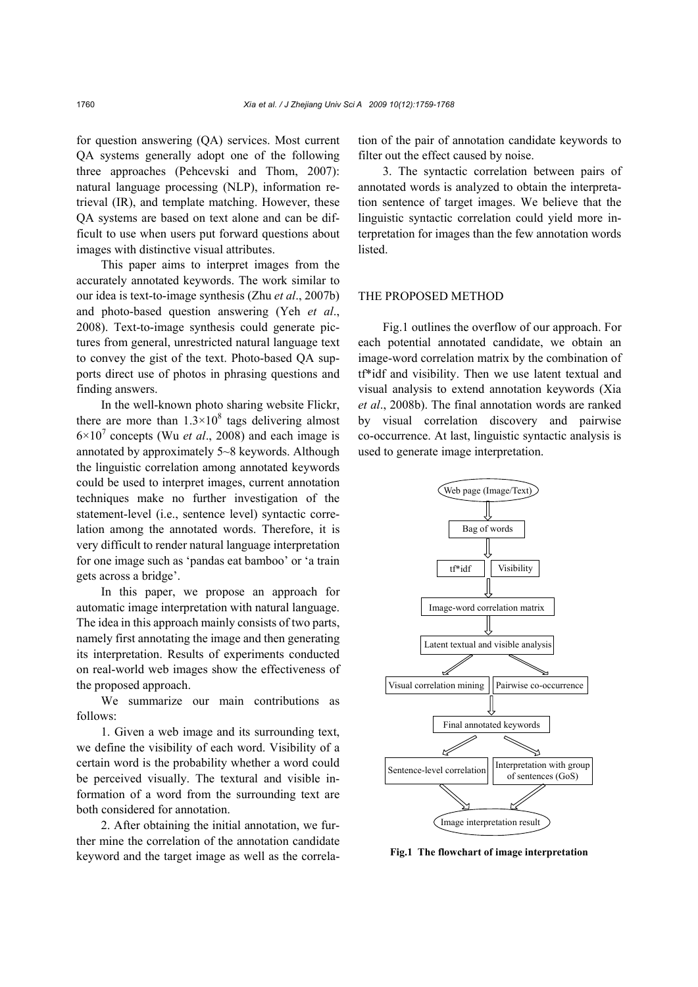for question answering (QA) services. Most current QA systems generally adopt one of the following three approaches (Pehcevski and Thom, 2007): natural language processing (NLP), information retrieval (IR), and template matching. However, these QA systems are based on text alone and can be difficult to use when users put forward questions about images with distinctive visual attributes.

This paper aims to interpret images from the accurately annotated keywords. The work similar to our idea is text-to-image synthesis (Zhu *et al*., 2007b) and photo-based question answering (Yeh *et al*., 2008). Text-to-image synthesis could generate pictures from general, unrestricted natural language text to convey the gist of the text. Photo-based QA supports direct use of photos in phrasing questions and finding answers.

In the well-known photo sharing website Flickr, there are more than  $1.3 \times 10^8$  tags delivering almost  $6 \times 10^7$  concepts (Wu *et al.*, 2008) and each image is annotated by approximately 5~8 keywords. Although the linguistic correlation among annotated keywords could be used to interpret images, current annotation techniques make no further investigation of the statement-level (i.e., sentence level) syntactic correlation among the annotated words. Therefore, it is very difficult to render natural language interpretation for one image such as 'pandas eat bamboo' or 'a train gets across a bridge'.

In this paper, we propose an approach for automatic image interpretation with natural language. The idea in this approach mainly consists of two parts, namely first annotating the image and then generating its interpretation. Results of experiments conducted on real-world web images show the effectiveness of the proposed approach.

We summarize our main contributions as follows:

1. Given a web image and its surrounding text, we define the visibility of each word. Visibility of a certain word is the probability whether a word could be perceived visually. The textural and visible information of a word from the surrounding text are both considered for annotation.

2. After obtaining the initial annotation, we further mine the correlation of the annotation candidate keyword and the target image as well as the correlation of the pair of annotation candidate keywords to filter out the effect caused by noise.

3. The syntactic correlation between pairs of annotated words is analyzed to obtain the interpretation sentence of target images. We believe that the linguistic syntactic correlation could yield more interpretation for images than the few annotation words listed.

## THE PROPOSED METHOD

Fig.1 outlines the overflow of our approach. For each potential annotated candidate, we obtain an image-word correlation matrix by the combination of tf\*idf and visibility. Then we use latent textual and visual analysis to extend annotation keywords (Xia *et al*., 2008b). The final annotation words are ranked by visual correlation discovery and pairwise co-occurrence. At last, linguistic syntactic analysis is used to generate image interpretation.



**Fig.1 The flowchart of image interpretation**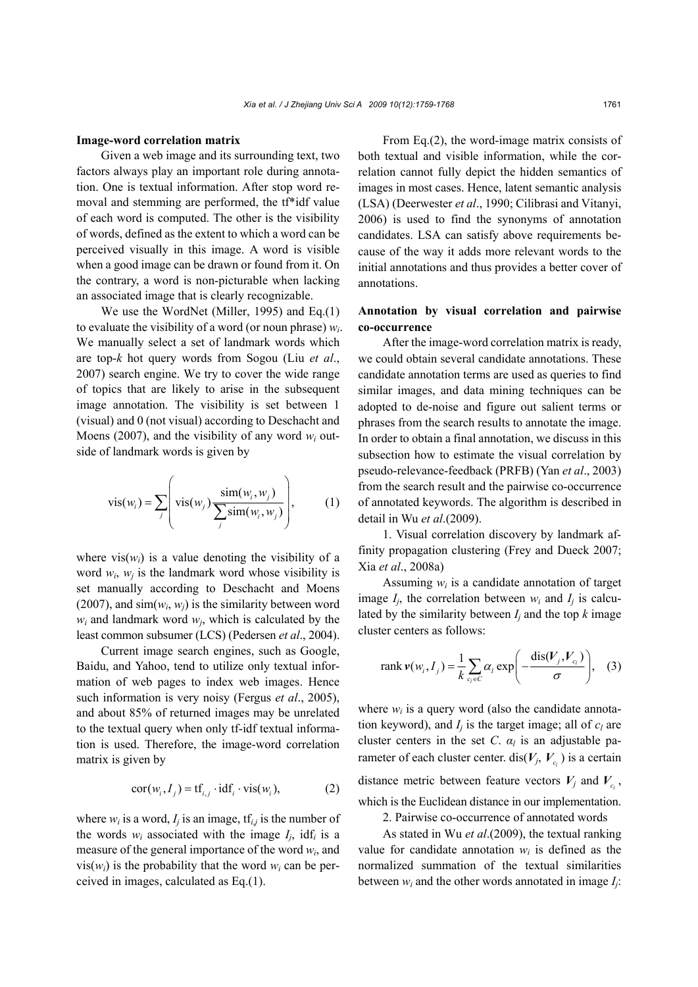#### **Image-word correlation matrix**

Given a web image and its surrounding text, two factors always play an important role during annotation. One is textual information. After stop word removal and stemming are performed, the tf\*idf value of each word is computed. The other is the visibility of words, defined as the extent to which a word can be perceived visually in this image. A word is visible when a good image can be drawn or found from it. On the contrary, a word is non-picturable when lacking an associated image that is clearly recognizable.

We use the WordNet (Miller, 1995) and Eq.(1) to evaluate the visibility of a word (or noun phrase)  $w_i$ . We manually select a set of landmark words which are top-*k* hot query words from Sogou (Liu *et al*., 2007) search engine. We try to cover the wide range of topics that are likely to arise in the subsequent image annotation. The visibility is set between 1 (visual) and 0 (not visual) according to Deschacht and Moens (2007), and the visibility of any word  $w_i$  outside of landmark words is given by

$$
vis(w_i) = \sum_{j} \left( vis(w_j) \frac{sim(w_i, w_j)}{\sum_{j} sim(w_i, w_j)} \right), \quad (1)
$$

where  $vis(w_i)$  is a value denoting the visibility of a word  $w_i$ ,  $w_i$  is the landmark word whose visibility is set manually according to Deschacht and Moens (2007), and  $\sin(w_i, w_j)$  is the similarity between word  $w_i$  and landmark word  $w_i$ , which is calculated by the least common subsumer (LCS) (Pedersen *et al*., 2004).

Current image search engines, such as Google, Baidu, and Yahoo, tend to utilize only textual information of web pages to index web images. Hence such information is very noisy (Fergus *et al*., 2005), and about 85% of returned images may be unrelated to the textual query when only tf-idf textual information is used. Therefore, the image-word correlation matrix is given by

$$
cor(w_i, I_j) = tf_{i,j} \cdot idf_i \cdot vis(w_i),
$$
 (2)

where  $w_i$  is a word,  $I_j$  is an image,  $tf_{i,j}$  is the number of the words  $w_i$  associated with the image  $I_i$ , idf<sub>i</sub> is a measure of the general importance of the word *wi*, and  $vis(w<sub>i</sub>)$  is the probability that the word  $w<sub>i</sub>$  can be perceived in images, calculated as Eq.(1).

From Eq.(2), the word-image matrix consists of both textual and visible information, while the correlation cannot fully depict the hidden semantics of images in most cases. Hence, latent semantic analysis (LSA) (Deerwester *et al*., 1990; Cilibrasi and Vitanyi, 2006) is used to find the synonyms of annotation candidates. LSA can satisfy above requirements because of the way it adds more relevant words to the initial annotations and thus provides a better cover of annotations.

# **Annotation by visual correlation and pairwise co-occurrence**

After the image-word correlation matrix is ready, we could obtain several candidate annotations. These candidate annotation terms are used as queries to find similar images, and data mining techniques can be adopted to de-noise and figure out salient terms or phrases from the search results to annotate the image. In order to obtain a final annotation, we discuss in this subsection how to estimate the visual correlation by pseudo-relevance-feedback (PRFB) (Yan *et al*., 2003) from the search result and the pairwise co-occurrence of annotated keywords. The algorithm is described in detail in Wu *et al*.(2009).

1. Visual correlation discovery by landmark affinity propagation clustering (Frey and Dueck 2007; Xia *et al*., 2008a)

Assuming  $w_i$  is a candidate annotation of target image  $I_i$ , the correlation between  $w_i$  and  $I_j$  is calculated by the similarity between  $I_i$  and the top  $k$  image cluster centers as follows:

$$
\operatorname{rank} \mathbf{v}(w_i, I_j) = \frac{1}{k} \sum_{c_i \in C} \alpha_i \exp\left(-\frac{\operatorname{dis}(V_j, V_{c_i})}{\sigma}\right), \quad (3)
$$

where  $w_i$  is a query word (also the candidate annotation keyword), and  $I_i$  is the target image; all of  $c_l$  are cluster centers in the set *C*.  $\alpha_l$  is an adjustable parameter of each cluster center. dis( $V_i$ ,  $V_c$ ) is a certain distance metric between feature vectors  $V_j$  and  $V_{c_i}$ , which is the Euclidean distance in our implementation. 2. Pairwise co-occurrence of annotated words

As stated in Wu *et al*.(2009), the textual ranking value for candidate annotation  $w_i$  is defined as the normalized summation of the textual similarities between  $w_i$  and the other words annotated in image  $I_i$ :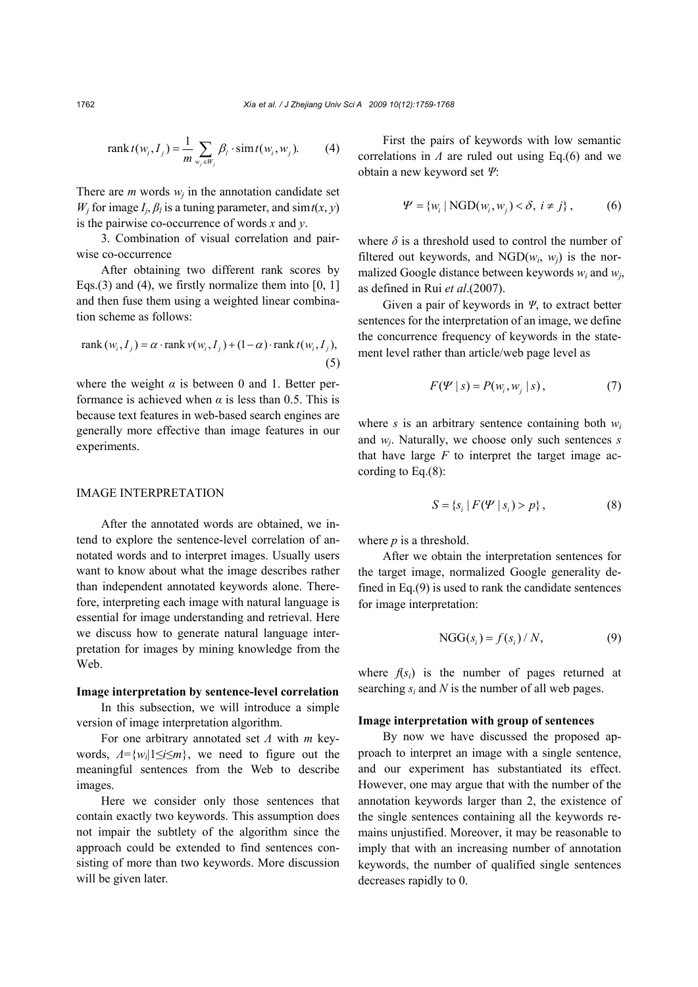rank 
$$
t(w_i, I_j) = \frac{1}{m} \sum_{w_j \in W_j} \beta_i \cdot \sin t(w_i, w_j).
$$
 (4)

There are  $m$  words  $w_i$  in the annotation candidate set *W<sub>i</sub>* for image  $I_i$ ,  $\beta_i$  is a tuning parameter, and sim $t(x, y)$ is the pairwise co-occurrence of words *x* and *y*.

3. Combination of visual correlation and pairwise co-occurrence

After obtaining two different rank scores by Eqs.(3) and (4), we firstly normalize them into  $[0, 1]$ and then fuse them using a weighted linear combination scheme as follows:

rank 
$$
(w_i, I_j)
$$
 =  $\alpha \cdot$  rank  $v(w_i, I_j)$  +  $(1 - \alpha) \cdot$  rank  $t(w_i, I_j)$ , (5)

where the weight  $\alpha$  is between 0 and 1. Better performance is achieved when  $\alpha$  is less than 0.5. This is because text features in web-based search engines are generally more effective than image features in our experiments.

## IMAGE INTERPRETATION

After the annotated words are obtained, we intend to explore the sentence-level correlation of annotated words and to interpret images. Usually users want to know about what the image describes rather than independent annotated keywords alone. Therefore, interpreting each image with natural language is essential for image understanding and retrieval. Here we discuss how to generate natural language interpretation for images by mining knowledge from the Web.

## **Image interpretation by sentence-level correlation**

In this subsection, we will introduce a simple version of image interpretation algorithm.

For one arbitrary annotated set *Λ* with *m* keywords,  $\Lambda = \{w_i | 1 \leq i \leq m\}$ , we need to figure out the meaningful sentences from the Web to describe images.

Here we consider only those sentences that contain exactly two keywords. This assumption does not impair the subtlety of the algorithm since the approach could be extended to find sentences consisting of more than two keywords. More discussion will be given later.

First the pairs of keywords with low semantic correlations in *Λ* are ruled out using Eq.(6) and we obtain a new keyword set *Ψ*:

$$
\Psi = \{w_i \mid \text{NGD}(w_i, w_j) < \delta, \ i \neq j\},\tag{6}
$$

where  $\delta$  is a threshold used to control the number of filtered out keywords, and  $\text{NGD}(w_i, w_i)$  is the normalized Google distance between keywords *wi* and *wj*, as defined in Rui *et al*.(2007).

Given a pair of keywords in *Ψ*, to extract better sentences for the interpretation of an image, we define the concurrence frequency of keywords in the statement level rather than article/web page level as

$$
F(\Psi \mid s) = P(w_i, w_j \mid s), \tag{7}
$$

where *s* is an arbitrary sentence containing both *wi* and *wj*. Naturally, we choose only such sentences *s* that have large  $F$  to interpret the target image according to Eq.(8):

$$
S = \{s_i \mid F(\Psi \mid s_i) > p\},\tag{8}
$$

where *p* is a threshold.

After we obtain the interpretation sentences for the target image, normalized Google generality defined in Eq.(9) is used to rank the candidate sentences for image interpretation:

$$
NGG(si) = f(si) / N,
$$
 (9)

where  $f(s_i)$  is the number of pages returned at searching *si* and *N* is the number of all web pages.

## **Image interpretation with group of sentences**

By now we have discussed the proposed approach to interpret an image with a single sentence, and our experiment has substantiated its effect. However, one may argue that with the number of the annotation keywords larger than 2, the existence of the single sentences containing all the keywords remains unjustified. Moreover, it may be reasonable to imply that with an increasing number of annotation keywords, the number of qualified single sentences decreases rapidly to 0.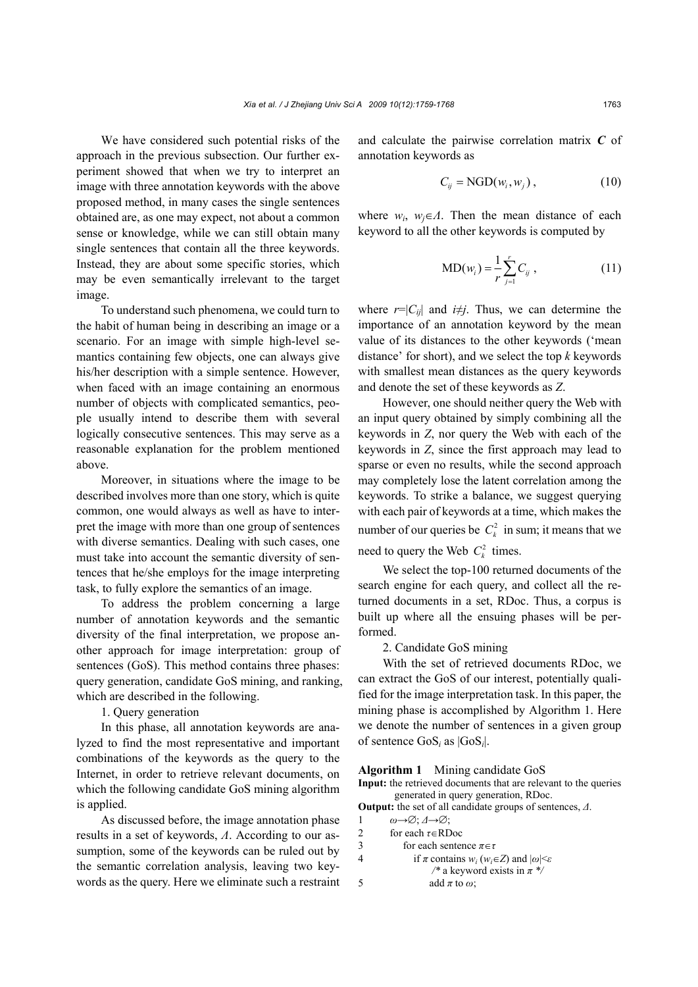We have considered such potential risks of the approach in the previous subsection. Our further experiment showed that when we try to interpret an image with three annotation keywords with the above proposed method, in many cases the single sentences obtained are, as one may expect, not about a common sense or knowledge, while we can still obtain many single sentences that contain all the three keywords. Instead, they are about some specific stories, which may be even semantically irrelevant to the target image.

To understand such phenomena, we could turn to the habit of human being in describing an image or a scenario. For an image with simple high-level semantics containing few objects, one can always give his/her description with a simple sentence. However, when faced with an image containing an enormous number of objects with complicated semantics, people usually intend to describe them with several logically consecutive sentences. This may serve as a reasonable explanation for the problem mentioned above.

Moreover, in situations where the image to be described involves more than one story, which is quite common, one would always as well as have to interpret the image with more than one group of sentences with diverse semantics. Dealing with such cases, one must take into account the semantic diversity of sentences that he/she employs for the image interpreting task, to fully explore the semantics of an image.

To address the problem concerning a large number of annotation keywords and the semantic diversity of the final interpretation, we propose another approach for image interpretation: group of sentences (GoS). This method contains three phases: query generation, candidate GoS mining, and ranking, which are described in the following.

1. Query generation

In this phase, all annotation keywords are analyzed to find the most representative and important combinations of the keywords as the query to the Internet, in order to retrieve relevant documents, on which the following candidate GoS mining algorithm is applied.

As discussed before, the image annotation phase results in a set of keywords, *Λ*. According to our assumption, some of the keywords can be ruled out by the semantic correlation analysis, leaving two keywords as the query. Here we eliminate such a restraint and calculate the pairwise correlation matrix *C* of annotation keywords as

$$
C_{ij} = \text{NGD}(w_i, w_j), \tag{10}
$$

where  $w_i$ ,  $w_i \in A$ . Then the mean distance of each keyword to all the other keywords is computed by

$$
MD(w_i) = \frac{1}{r} \sum_{j=1}^{r} C_{ij} ,
$$
 (11)

where  $r=|C_{ij}|$  and  $i\neq j$ . Thus, we can determine the importance of an annotation keyword by the mean value of its distances to the other keywords ('mean distance' for short), and we select the top *k* keywords with smallest mean distances as the query keywords and denote the set of these keywords as *Z*.

However, one should neither query the Web with an input query obtained by simply combining all the keywords in *Z*, nor query the Web with each of the keywords in *Z*, since the first approach may lead to sparse or even no results, while the second approach may completely lose the latent correlation among the keywords. To strike a balance, we suggest querying with each pair of keywords at a time, which makes the number of our queries be  $C_k^2$  in sum; it means that we need to query the Web  $C_k^2$  times.

We select the top-100 returned documents of the search engine for each query, and collect all the returned documents in a set, RDoc. Thus, a corpus is built up where all the ensuing phases will be performed.

2. Candidate GoS mining

With the set of retrieved documents RDoc, we can extract the GoS of our interest, potentially qualified for the image interpretation task. In this paper, the mining phase is accomplished by Algorithm 1. Here we denote the number of sentences in a given group of sentence GoS*i* as |GoS*i*|.

#### **Algorithm 1** Mining candidate GoS

**Input:** the retrieved documents that are relevant to the queries generated in query generation, RDoc.

**Output:** the set of all candidate groups of sentences, *Δ*.

```
1 ω→∅; Δ→∅; 
2 for each τ∈RDoc
```
- 3 for each sentence *π*∈*τ* 4 if *π* contains *wi* (*wi*∈*Z*) and |*ω*|<*ε*
	- */\** a keyword exists in *π \*/*
- 5 add *π* to *ω*;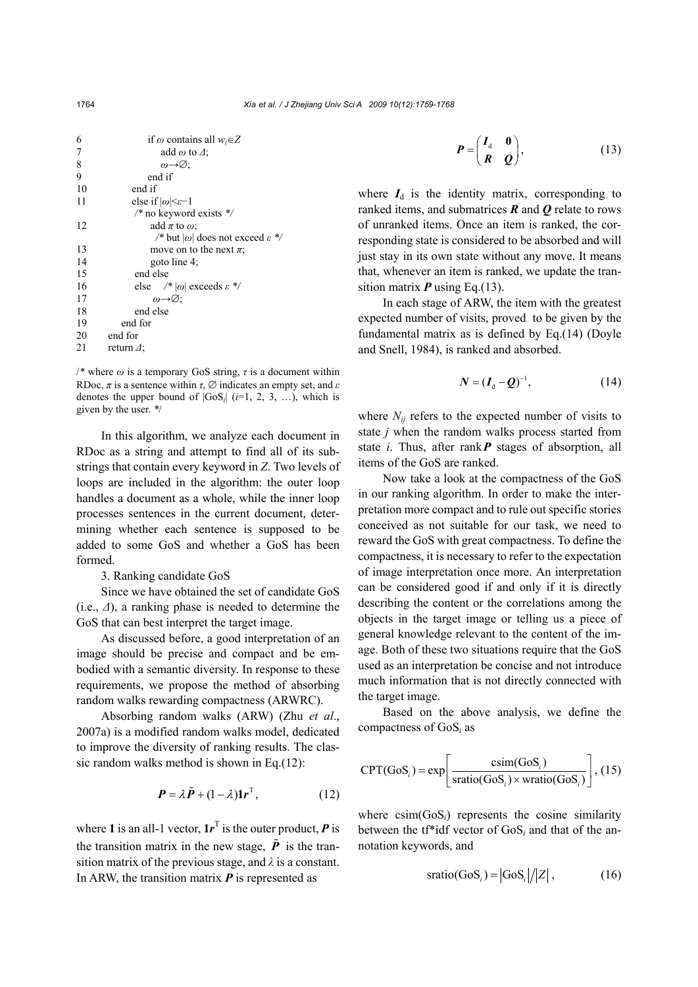1764 *Xia et al. / J Zhejiang Univ Sci A 2009 10(12):1759-1768*

| 6  | if $\omega$ contains all $w_i \in Z$               |
|----|----------------------------------------------------|
| 7  | add $\omega$ to $\Delta$ .                         |
| 8  | $\omega \rightarrow \varnothing$                   |
| 9  | end if                                             |
| 10 | end if                                             |
| 11 | else if $ \omega  \leq \varepsilon - 1$            |
|    | $/*$ no keyword exists $*/$                        |
| 12 | add $\pi$ to $\omega$ .                            |
|    | /* but $ \omega $ does not exceed $\varepsilon$ */ |
| 13 | move on to the next $\pi$ ;                        |
| 14 | goto line $4$ ;                                    |
| 15 | end else                                           |
| 16 | else /*  ω  exceeds $\varepsilon$ */               |
| 17 | $\omega \rightarrow \varnothing$ :                 |
| 18 | end else                                           |
| 19 | end for                                            |
| 20 | end for                                            |
| 21 | return $\varDelta$ ;                               |
|    |                                                    |

/\* where  $\omega$  is a temporary GoS string,  $\tau$  is a document within RDoc,  $\pi$  is a sentence within  $\tau$ ,  $\varnothing$  indicates an empty set, and  $\varepsilon$ denotes the upper bound of  $|GoS_i|$  ( $i=1, 2, 3, ...$ ), which is given by the user. *\**/

In this algorithm, we analyze each document in RDoc as a string and attempt to find all of its substrings that contain every keyword in *Z*. Two levels of loops are included in the algorithm: the outer loop handles a document as a whole, while the inner loop processes sentences in the current document, determining whether each sentence is supposed to be added to some GoS and whether a GoS has been formed.

## 3. Ranking candidate GoS

Since we have obtained the set of candidate GoS (i.e., *Δ*), a ranking phase is needed to determine the GoS that can best interpret the target image.

As discussed before, a good interpretation of an image should be precise and compact and be embodied with a semantic diversity. In response to these requirements, we propose the method of absorbing random walks rewarding compactness (ARWRC).

Absorbing random walks (ARW) (Zhu *et al*., 2007a) is a modified random walks model, dedicated to improve the diversity of ranking results. The classic random walks method is shown in Eq.(12):

$$
\boldsymbol{P} = \lambda \tilde{\boldsymbol{P}} + (1 - \lambda) \mathbf{1} \boldsymbol{r}^{\mathrm{T}}, \qquad (12)
$$

where 1 is an all-1 vector,  $1r<sup>T</sup>$  is the outer product, P is the transition matrix in the new stage,  $\tilde{P}$  is the transition matrix of the previous stage, and *λ* is a constant. In ARW, the transition matrix *P* is represented as

$$
P = \begin{pmatrix} I_d & 0 \\ R & Q \end{pmatrix},\tag{13}
$$

where  $I_d$  is the identity matrix, corresponding to ranked items, and submatrices *R* and *Q* relate to rows of unranked items. Once an item is ranked, the corresponding state is considered to be absorbed and will just stay in its own state without any move. It means that, whenever an item is ranked, we update the transition matrix  $P$  using Eq.(13).

In each stage of ARW, the item with the greatest expected number of visits, proved to be given by the fundamental matrix as is defined by Eq.(14) (Doyle and Snell, 1984), is ranked and absorbed.

$$
N = \left(\mathbf{I}_d - \mathbf{Q}\right)^{-1},\tag{14}
$$

where  $N_{ij}$  refers to the expected number of visits to state *j* when the random walks process started from state *i*. Thus, after rank*P* stages of absorption, all items of the GoS are ranked.

Now take a look at the compactness of the GoS in our ranking algorithm. In order to make the interpretation more compact and to rule out specific stories conceived as not suitable for our task, we need to reward the GoS with great compactness. To define the compactness, it is necessary to refer to the expectation of image interpretation once more. An interpretation can be considered good if and only if it is directly describing the content or the correlations among the objects in the target image or telling us a piece of general knowledge relevant to the content of the image. Both of these two situations require that the GoS used as an interpretation be concise and not introduce much information that is not directly connected with the target image.

Based on the above analysis, we define the compactness of GoS*i* as

$$
CPT(GoSi) = exp\left[\frac{csim(GoSi)}{sratio(GoSi) \times wratio(GoSi)}\right], (15)
$$

where csim(GoS*i*) represents the cosine similarity between the tf\*idf vector of  $GoS_i$  and that of the annotation keywords, and

$$
sratio(GoSi) = |GoSi|/|Z|, \qquad (16)
$$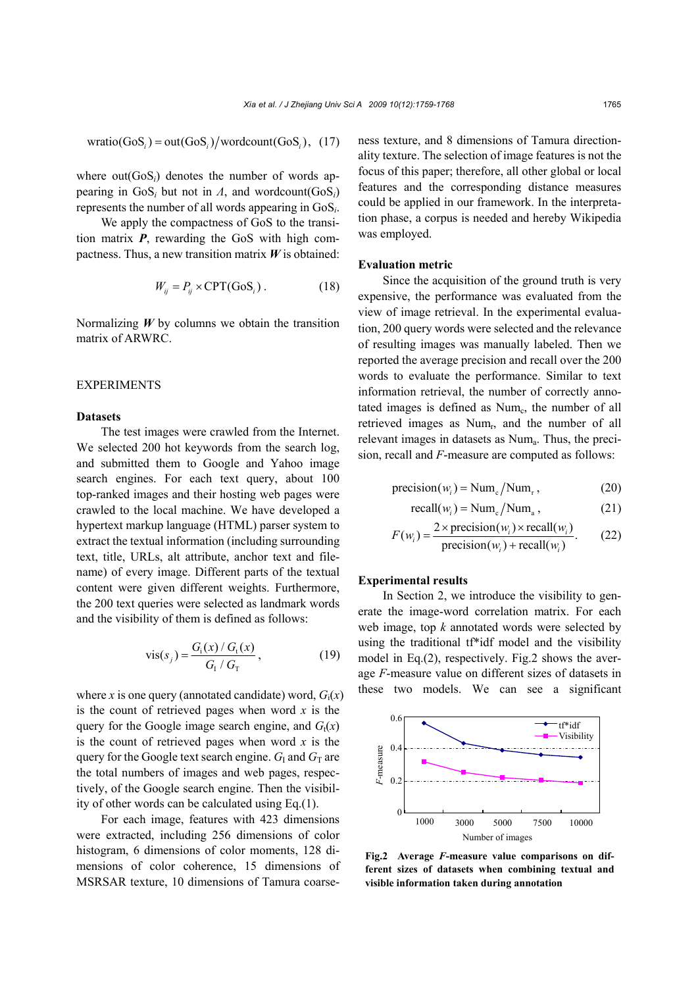$\text{wratio}(GoS_i) = \text{out}(GoS_i) / \text{wordcount}(GoS_i),$  (17)

where out(GoS<sub>i</sub>) denotes the number of words appearing in GoS*i* but not in *Λ*, and wordcount(GoS*i*) represents the number of all words appearing in GoS*i*.

We apply the compactness of GoS to the transition matrix *P*, rewarding the GoS with high compactness. Thus, a new transition matrix  $W$  is obtained:

$$
W_{ij} = P_{ij} \times \text{CPT}(\text{GoS}_i) \,. \tag{18}
$$

Normalizing  $W$  by columns we obtain the transition matrix of ARWRC.

## **EXPERIMENTS**

#### **Datasets**

The test images were crawled from the Internet. We selected 200 hot keywords from the search log, and submitted them to Google and Yahoo image search engines. For each text query, about 100 top-ranked images and their hosting web pages were crawled to the local machine. We have developed a hypertext markup language (HTML) parser system to extract the textual information (including surrounding text, title, URLs, alt attribute, anchor text and filename) of every image. Different parts of the textual content were given different weights. Furthermore, the 200 text queries were selected as landmark words and the visibility of them is defined as follows:

$$
vis(sj) = \frac{G_i(x)/G_i(x)}{G_i/G_{\rm T}},
$$
\n(19)

where *x* is one query (annotated candidate) word,  $G_i(x)$ is the count of retrieved pages when word *x* is the query for the Google image search engine, and  $G_t(x)$ is the count of retrieved pages when word *x* is the query for the Google text search engine.  $G<sub>I</sub>$  and  $G<sub>T</sub>$  are the total numbers of images and web pages, respectively, of the Google search engine. Then the visibility of other words can be calculated using Eq.(1).

For each image, features with 423 dimensions were extracted, including 256 dimensions of color histogram, 6 dimensions of color moments, 128 dimensions of color coherence, 15 dimensions of MSRSAR texture, 10 dimensions of Tamura coarseness texture, and 8 dimensions of Tamura directionality texture. The selection of image features is not the focus of this paper; therefore, all other global or local features and the corresponding distance measures could be applied in our framework. In the interpretation phase, a corpus is needed and hereby Wikipedia was employed.

#### **Evaluation metric**

Since the acquisition of the ground truth is very expensive, the performance was evaluated from the view of image retrieval. In the experimental evaluation, 200 query words were selected and the relevance of resulting images was manually labeled. Then we reported the average precision and recall over the 200 words to evaluate the performance. Similar to text information retrieval, the number of correctly annotated images is defined as Num. the number of all retrieved images as Num<sub>r</sub>, and the number of all relevant images in datasets as Num<sub>a</sub>. Thus, the precision, recall and *F*-measure are computed as follows:

$$
precision(w_i) = Num_c / Num_r, \qquad (20)
$$

$$
recall(wi) = Numc/Numa, \t(21)
$$

$$
F(w_i) = \frac{2 \times \text{precision}(w_i) \times \text{recall}(w_i)}{\text{precision}(w_i) + \text{recall}(w_i)}.
$$
 (22)

#### **Experimental results**

In Section 2, we introduce the visibility to generate the image-word correlation matrix. For each web image, top *k* annotated words were selected by using the traditional tf\*idf model and the visibility model in Eq.(2), respectively. Fig.2 shows the average *F*-measure value on different sizes of datasets in these two models. We can see a significant



**Fig.2 Average** *F***-measure value comparisons on different sizes of datasets when combining textual and visible information taken during annotation**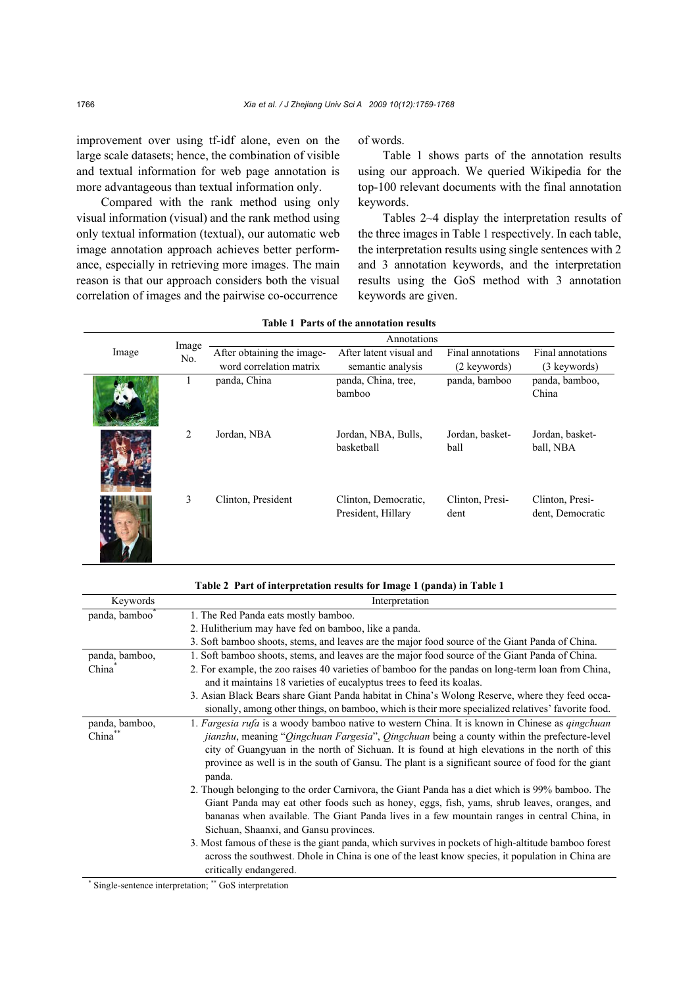improvement over using tf-idf alone, even on the large scale datasets; hence, the combination of visible and textual information for web page annotation is more advantageous than textual information only.

Compared with the rank method using only visual information (visual) and the rank method using only textual information (textual), our automatic web image annotation approach achieves better performance, especially in retrieving more images. The main reason is that our approach considers both the visual correlation of images and the pairwise co-occurrence

of words.

Table 1 shows parts of the annotation results using our approach. We queried Wikipedia for the top-100 relevant documents with the final annotation keywords.

Tables 2~4 display the interpretation results of the three images in Table 1 respectively. In each table, the interpretation results using single sentences with 2 and 3 annotation keywords, and the interpretation results using the GoS method with 3 annotation keywords are given.

| Table T Parts of the annotation results |       |                            |                                            |                         |                                     |
|-----------------------------------------|-------|----------------------------|--------------------------------------------|-------------------------|-------------------------------------|
|                                         | Image |                            | Annotations                                |                         |                                     |
| Image                                   | No.   | After obtaining the image- | After latent visual and                    | Final annotations       | Final annotations                   |
|                                         |       | word correlation matrix    | semantic analysis                          | (2 keywords)            | (3 keywords)                        |
|                                         | 1     | panda, China               | panda, China, tree,<br>bamboo              | panda, bamboo           | panda, bamboo,<br>China             |
|                                         | 2     | Jordan, NBA                | Jordan, NBA, Bulls,<br>basketball          | Jordan, basket-<br>ball | Jordan, basket-<br>ball, NBA        |
|                                         | 3     | Clinton, President         | Clinton, Democratic,<br>President, Hillary | Clinton, Presi-<br>dent | Clinton, Presi-<br>dent, Democratic |

## **Table 1 Parts of the annotation results**

#### **Table 2 Part of interpretation results for Image 1 (panda) in Table 1**

| Keywords           | Interpretation                                                                                                      |
|--------------------|---------------------------------------------------------------------------------------------------------------------|
| panda, bamboo      | 1. The Red Panda eats mostly bamboo.                                                                                |
|                    | 2. Hulitherium may have fed on bamboo, like a panda.                                                                |
|                    | 3. Soft bamboo shoots, stems, and leaves are the major food source of the Giant Panda of China.                     |
| panda, bamboo,     | 1. Soft bamboo shoots, stems, and leaves are the major food source of the Giant Panda of China.                     |
| China <sup>*</sup> | 2. For example, the zoo raises 40 varieties of bamboo for the pandas on long-term loan from China,                  |
|                    | and it maintains 18 varieties of eucalyptus trees to feed its koalas.                                               |
|                    | 3. Asian Black Bears share Giant Panda habitat in China's Wolong Reserve, where they feed occa-                     |
|                    | sionally, among other things, on bamboo, which is their more specialized relatives' favorite food.                  |
| panda, bamboo,     | 1. Fargesia rufa is a woody bamboo native to western China. It is known in Chinese as <i>qingchuan</i>              |
| China**            | <i>jianzhu</i> , meaning " <i>Qingchuan Fargesia</i> ", <i>Qingchuan</i> being a county within the prefecture-level |
|                    | city of Guangyuan in the north of Sichuan. It is found at high elevations in the north of this                      |
|                    | province as well is in the south of Gansu. The plant is a significant source of food for the giant                  |
|                    | panda.                                                                                                              |
|                    | 2. Though belonging to the order Carnivora, the Giant Panda has a diet which is 99% bamboo. The                     |
|                    | Giant Panda may eat other foods such as honey, eggs, fish, yams, shrub leaves, oranges, and                         |
|                    | bananas when available. The Giant Panda lives in a few mountain ranges in central China, in                         |
|                    | Sichuan, Shaanxi, and Gansu provinces.                                                                              |
|                    | 3. Most famous of these is the giant panda, which survives in pockets of high-altitude bamboo forest                |
|                    | across the southwest. Dhole in China is one of the least know species, it population in China are                   |
|                    | critically endangered.                                                                                              |

\* Single-sentence interpretation; \*\* GoS interpretation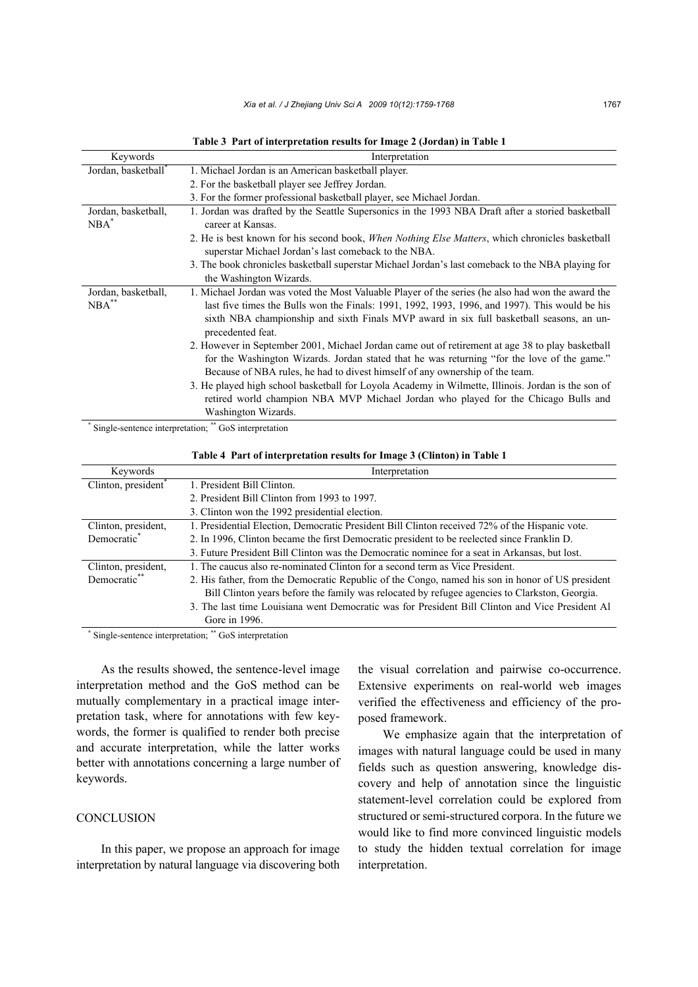| Interpretation                                                                                                                                                                                                                                                                                                                                                                                                                                                                                                                                                                                                                                                                                                                                                                                                             |
|----------------------------------------------------------------------------------------------------------------------------------------------------------------------------------------------------------------------------------------------------------------------------------------------------------------------------------------------------------------------------------------------------------------------------------------------------------------------------------------------------------------------------------------------------------------------------------------------------------------------------------------------------------------------------------------------------------------------------------------------------------------------------------------------------------------------------|
| 1. Michael Jordan is an American basketball player.                                                                                                                                                                                                                                                                                                                                                                                                                                                                                                                                                                                                                                                                                                                                                                        |
| 2. For the basketball player see Jeffrey Jordan.                                                                                                                                                                                                                                                                                                                                                                                                                                                                                                                                                                                                                                                                                                                                                                           |
| 3. For the former professional basketball player, see Michael Jordan.                                                                                                                                                                                                                                                                                                                                                                                                                                                                                                                                                                                                                                                                                                                                                      |
| 1. Jordan was drafted by the Seattle Supersonics in the 1993 NBA Draft after a storied basketball<br>career at Kansas.                                                                                                                                                                                                                                                                                                                                                                                                                                                                                                                                                                                                                                                                                                     |
| 2. He is best known for his second book, When Nothing Else Matters, which chronicles basketball<br>superstar Michael Jordan's last comeback to the NBA.                                                                                                                                                                                                                                                                                                                                                                                                                                                                                                                                                                                                                                                                    |
| 3. The book chronicles basketball superstar Michael Jordan's last comeback to the NBA playing for<br>the Washington Wizards.                                                                                                                                                                                                                                                                                                                                                                                                                                                                                                                                                                                                                                                                                               |
| 1. Michael Jordan was voted the Most Valuable Player of the series (he also had won the award the<br>last five times the Bulls won the Finals: 1991, 1992, 1993, 1996, and 1997). This would be his<br>sixth NBA championship and sixth Finals MVP award in six full basketball seasons, an un-<br>precedented feat.<br>2. However in September 2001, Michael Jordan came out of retirement at age 38 to play basketball<br>for the Washington Wizards. Jordan stated that he was returning "for the love of the game."<br>Because of NBA rules, he had to divest himself of any ownership of the team.<br>3. He played high school basketball for Loyola Academy in Wilmette, Illinois. Jordan is the son of<br>retired world champion NBA MVP Michael Jordan who played for the Chicago Bulls and<br>Washington Wizards. |
|                                                                                                                                                                                                                                                                                                                                                                                                                                                                                                                                                                                                                                                                                                                                                                                                                            |

**Table 3 Part of interpretation results for Image 2 (Jordan) in Table 1** 

\* Single-sentence interpretation; \*\* GoS interpretation

**Table 4 Part of interpretation results for Image 3 (Clinton) in Table 1** 

| Keywords                        | Interpretation                                                                                   |
|---------------------------------|--------------------------------------------------------------------------------------------------|
| Clinton, president <sup>*</sup> | 1. President Bill Clinton.                                                                       |
|                                 | 2. President Bill Clinton from 1993 to 1997.                                                     |
|                                 | 3. Clinton won the 1992 presidential election.                                                   |
| Clinton, president,             | 1. Presidential Election, Democratic President Bill Clinton received 72% of the Hispanic vote.   |
| Democratic <sup>®</sup>         | 2. In 1996, Clinton became the first Democratic president to be reelected since Franklin D.      |
|                                 | 3. Future President Bill Clinton was the Democratic nominee for a seat in Arkansas, but lost.    |
| Clinton, president,             | 1. The caucus also re-nominated Clinton for a second term as Vice President.                     |
| Democratic**                    | 2. His father, from the Democratic Republic of the Congo, named his son in honor of US president |
|                                 | Bill Clinton years before the family was relocated by refugee agencies to Clarkston, Georgia.    |
|                                 | 3. The last time Louisiana went Democratic was for President Bill Clinton and Vice President Al  |
|                                 | Gore in 1996.                                                                                    |

\* Single-sentence interpretation; \*\* GoS interpretation

As the results showed, the sentence-level image interpretation method and the GoS method can be mutually complementary in a practical image interpretation task, where for annotations with few keywords, the former is qualified to render both precise and accurate interpretation, while the latter works better with annotations concerning a large number of keywords.

## **CONCLUSION**

In this paper, we propose an approach for image interpretation by natural language via discovering both

the visual correlation and pairwise co-occurrence. Extensive experiments on real-world web images verified the effectiveness and efficiency of the proposed framework.

We emphasize again that the interpretation of images with natural language could be used in many fields such as question answering, knowledge discovery and help of annotation since the linguistic statement-level correlation could be explored from structured or semi-structured corpora. In the future we would like to find more convinced linguistic models to study the hidden textual correlation for image interpretation.